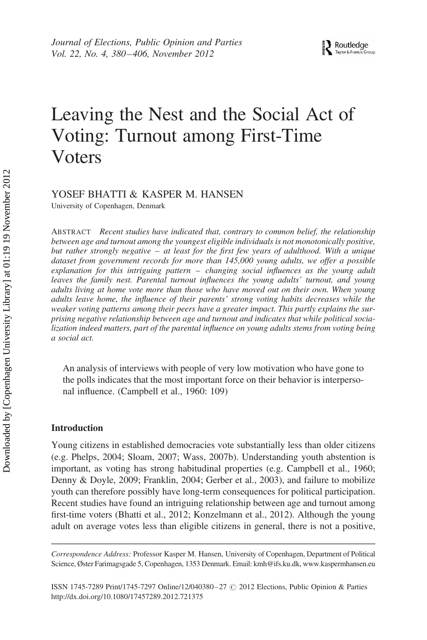# Leaving the Nest and the Social Act of Voting: Turnout among First-Time Voters

YOSEF BHATTI & KASPER M. HANSEN

University of Copenhagen, Denmark

ABSTRACT Recent studies have indicated that, contrary to common belief, the relationship between age and turnout among the youngest eligible individuals is not monotonically positive, but rather strongly negative – at least for the first few years of adulthood. With a unique dataset from government records for more than 145,000 young adults, we offer a possible explanation for this intriguing pattern – changing social influences as the young adult leaves the family nest. Parental turnout influences the young adults' turnout, and young adults living at home vote more than those who have moved out on their own. When young adults leave home, the influence of their parents' strong voting habits decreases while the weaker voting patterns among their peers have a greater impact. This partly explains the surprising negative relationship between age and turnout and indicates that while political socialization indeed matters, part of the parental influence on young adults stems from voting being a social act.

An analysis of interviews with people of very low motivation who have gone to the polls indicates that the most important force on their behavior is interpersonal influence. (Campbell et al., 1960: 109)

## Introduction

Young citizens in established democracies vote substantially less than older citizens (e.g. Phelps, 2004; Sloam, 2007; Wass, 2007b). Understanding youth abstention is important, as voting has strong habitudinal properties (e.g. Campbell et al., 1960; Denny & Doyle, 2009; Franklin, 2004; Gerber et al., 2003), and failure to mobilize youth can therefore possibly have long-term consequences for political participation. Recent studies have found an intriguing relationship between age and turnout among first-time voters (Bhatti et al., 2012; Konzelmann et al., 2012). Although the young adult on average votes less than eligible citizens in general, there is not a positive,

Correspondence Address: Professor Kasper M. Hansen, University of Copenhagen, Department of Political Science, Øster Farimagsgade 5, Copenhagen, 1353 Denmark. Email: kmh@ifs.ku.dk, www.kaspermhansen.eu

ISSN 1745-7289 Print/1745-7297 Online/12/040380-27 © 2012 Elections, Public Opinion & Parties http://dx.doi.org/10.1080/17457289.2012.721375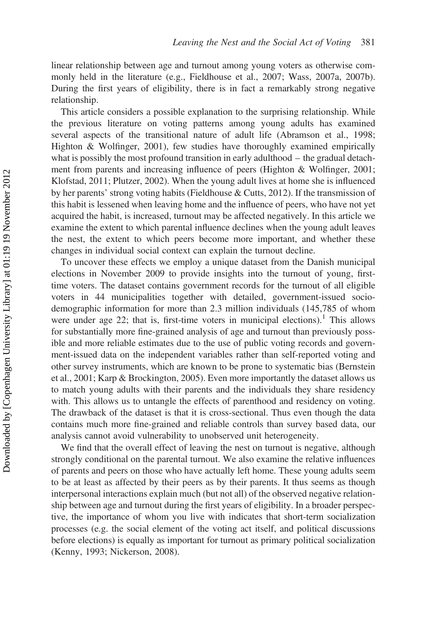linear relationship between age and turnout among young voters as otherwise commonly held in the literature (e.g., Fieldhouse et al., 2007; Wass, 2007a, 2007b). During the first years of eligibility, there is in fact a remarkably strong negative relationship.

This article considers a possible explanation to the surprising relationship. While the previous literature on voting patterns among young adults has examined several aspects of the transitional nature of adult life (Abramson et al., 1998; Highton & Wolfinger, 2001), few studies have thoroughly examined empirically what is possibly the most profound transition in early adulthood – the gradual detachment from parents and increasing influence of peers (Highton & Wolfinger, 2001; Klofstad, 2011; Plutzer, 2002). When the young adult lives at home she is influenced by her parents' strong voting habits (Fieldhouse & Cutts, 2012). If the transmission of this habit is lessened when leaving home and the influence of peers, who have not yet acquired the habit, is increased, turnout may be affected negatively. In this article we examine the extent to which parental influence declines when the young adult leaves the nest, the extent to which peers become more important, and whether these changes in individual social context can explain the turnout decline.

To uncover these effects we employ a unique dataset from the Danish municipal elections in November 2009 to provide insights into the turnout of young, firsttime voters. The dataset contains government records for the turnout of all eligible voters in 44 municipalities together with detailed, government-issued sociodemographic information for more than 2.3 million individuals (145,785 of whom were under age 22; that is, first-time voters in municipal elections).<sup>1</sup> This allows for substantially more fine-grained analysis of age and turnout than previously possible and more reliable estimates due to the use of public voting records and government-issued data on the independent variables rather than self-reported voting and other survey instruments, which are known to be prone to systematic bias (Bernstein et al., 2001; Karp & Brockington, 2005). Even more importantly the dataset allows us to match young adults with their parents and the individuals they share residency with. This allows us to untangle the effects of parenthood and residency on voting. The drawback of the dataset is that it is cross-sectional. Thus even though the data contains much more fine-grained and reliable controls than survey based data, our analysis cannot avoid vulnerability to unobserved unit heterogeneity.

We find that the overall effect of leaving the nest on turnout is negative, although strongly conditional on the parental turnout. We also examine the relative influences of parents and peers on those who have actually left home. These young adults seem to be at least as affected by their peers as by their parents. It thus seems as though interpersonal interactions explain much (but not all) of the observed negative relationship between age and turnout during the first years of eligibility. In a broader perspective, the importance of whom you live with indicates that short-term socialization processes (e.g. the social element of the voting act itself, and political discussions before elections) is equally as important for turnout as primary political socialization (Kenny, 1993; Nickerson, 2008).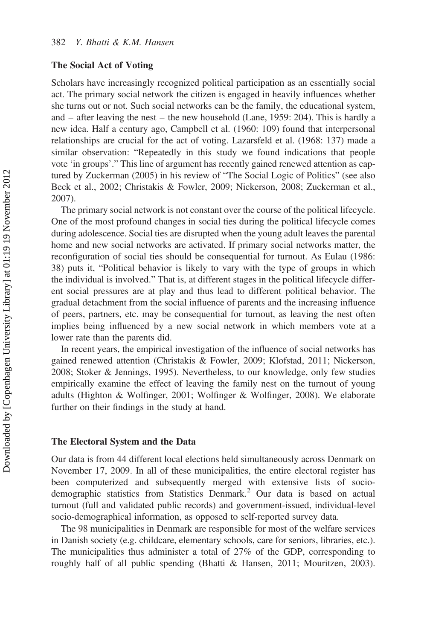## The Social Act of Voting

Scholars have increasingly recognized political participation as an essentially social act. The primary social network the citizen is engaged in heavily influences whether she turns out or not. Such social networks can be the family, the educational system, and – after leaving the nest – the new household (Lane, 1959: 204). This is hardly a new idea. Half a century ago, Campbell et al. (1960: 109) found that interpersonal relationships are crucial for the act of voting. Lazarsfeld et al. (1968: 137) made a similar observation: "Repeatedly in this study we found indications that people vote 'in groups'." This line of argument has recently gained renewed attention as captured by Zuckerman (2005) in his review of "The Social Logic of Politics" (see also Beck et al., 2002; Christakis & Fowler, 2009; Nickerson, 2008; Zuckerman et al., 2007).

The primary social network is not constant over the course of the political lifecycle. One of the most profound changes in social ties during the political lifecycle comes during adolescence. Social ties are disrupted when the young adult leaves the parental home and new social networks are activated. If primary social networks matter, the reconfiguration of social ties should be consequential for turnout. As Eulau (1986: 38) puts it, "Political behavior is likely to vary with the type of groups in which the individual is involved." That is, at different stages in the political lifecycle different social pressures are at play and thus lead to different political behavior. The gradual detachment from the social influence of parents and the increasing influence of peers, partners, etc. may be consequential for turnout, as leaving the nest often implies being influenced by a new social network in which members vote at a lower rate than the parents did.

In recent years, the empirical investigation of the influence of social networks has gained renewed attention (Christakis & Fowler, 2009; Klofstad, 2011; Nickerson, 2008; Stoker & Jennings, 1995). Nevertheless, to our knowledge, only few studies empirically examine the effect of leaving the family nest on the turnout of young adults (Highton & Wolfinger, 2001; Wolfinger & Wolfinger, 2008). We elaborate further on their findings in the study at hand.

## The Electoral System and the Data

Our data is from 44 different local elections held simultaneously across Denmark on November 17, 2009. In all of these municipalities, the entire electoral register has been computerized and subsequently merged with extensive lists of sociodemographic statistics from Statistics Denmark.<sup>2</sup> Our data is based on actual turnout (full and validated public records) and government-issued, individual-level socio-demographical information, as opposed to self-reported survey data.

The 98 municipalities in Denmark are responsible for most of the welfare services in Danish society (e.g. childcare, elementary schools, care for seniors, libraries, etc.). The municipalities thus administer a total of 27% of the GDP, corresponding to roughly half of all public spending (Bhatti & Hansen, 2011; Mouritzen, 2003).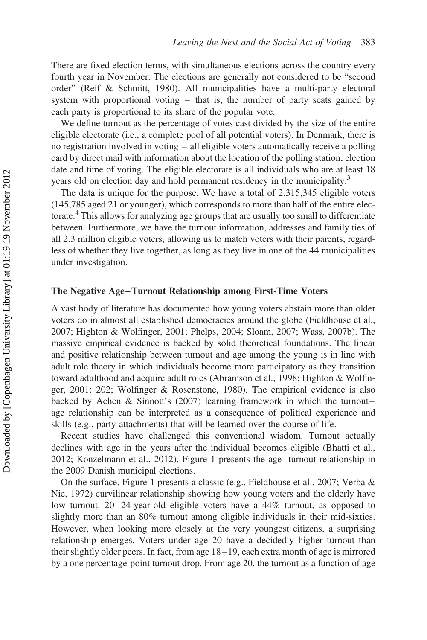There are fixed election terms, with simultaneous elections across the country every fourth year in November. The elections are generally not considered to be "second order" (Reif & Schmitt, 1980). All municipalities have a multi-party electoral system with proportional voting – that is, the number of party seats gained by each party is proportional to its share of the popular vote.

We define turnout as the percentage of votes cast divided by the size of the entire eligible electorate (i.e., a complete pool of all potential voters). In Denmark, there is no registration involved in voting – all eligible voters automatically receive a polling card by direct mail with information about the location of the polling station, election date and time of voting. The eligible electorate is all individuals who are at least 18 years old on election day and hold permanent residency in the municipality.<sup>3</sup>

The data is unique for the purpose. We have a total of 2,315,345 eligible voters (145,785 aged 21 or younger), which corresponds to more than half of the entire electorate.<sup>4</sup> This allows for analyzing age groups that are usually too small to differentiate between. Furthermore, we have the turnout information, addresses and family ties of all 2.3 million eligible voters, allowing us to match voters with their parents, regardless of whether they live together, as long as they live in one of the 44 municipalities under investigation.

## The Negative Age–Turnout Relationship among First-Time Voters

A vast body of literature has documented how young voters abstain more than older voters do in almost all established democracies around the globe (Fieldhouse et al., 2007; Highton & Wolfinger, 2001; Phelps, 2004; Sloam, 2007; Wass, 2007b). The massive empirical evidence is backed by solid theoretical foundations. The linear and positive relationship between turnout and age among the young is in line with adult role theory in which individuals become more participatory as they transition toward adulthood and acquire adult roles (Abramson et al., 1998; Highton & Wolfinger, 2001: 202; Wolfinger & Rosenstone, 1980). The empirical evidence is also backed by Achen & Sinnott's (2007) learning framework in which the turnout – age relationship can be interpreted as a consequence of political experience and skills (e.g., party attachments) that will be learned over the course of life.

Recent studies have challenged this conventional wisdom. Turnout actually declines with age in the years after the individual becomes eligible (Bhatti et al., 2012; Konzelmann et al., 2012). Figure 1 presents the age –turnout relationship in the 2009 Danish municipal elections.

On the surface, Figure 1 presents a classic (e.g., Fieldhouse et al., 2007; Verba & Nie, 1972) curvilinear relationship showing how young voters and the elderly have low turnout.  $20 - 24$ -year-old eligible voters have a  $44\%$  turnout, as opposed to slightly more than an 80% turnout among eligible individuals in their mid-sixties. However, when looking more closely at the very youngest citizens, a surprising relationship emerges. Voters under age 20 have a decidedly higher turnout than their slightly older peers. In fact, from age 18– 19, each extra month of age is mirrored by a one percentage-point turnout drop. From age 20, the turnout as a function of age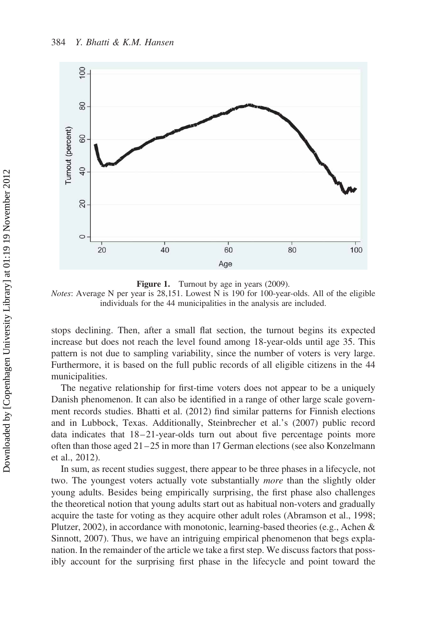

Figure 1. Turnout by age in years (2009).

Notes: Average N per year is 28,151. Lowest N is 190 for 100-year-olds. All of the eligible individuals for the 44 municipalities in the analysis are included.

stops declining. Then, after a small flat section, the turnout begins its expected increase but does not reach the level found among 18-year-olds until age 35. This pattern is not due to sampling variability, since the number of voters is very large. Furthermore, it is based on the full public records of all eligible citizens in the 44 municipalities.

The negative relationship for first-time voters does not appear to be a uniquely Danish phenomenon. It can also be identified in a range of other large scale government records studies. Bhatti et al. (2012) find similar patterns for Finnish elections and in Lubbock, Texas. Additionally, Steinbrecher et al.'s (2007) public record data indicates that  $18-21$ -year-olds turn out about five percentage points more often than those aged 21 –25 in more than 17 German elections (see also Konzelmann et al., 2012).

In sum, as recent studies suggest, there appear to be three phases in a lifecycle, not two. The youngest voters actually vote substantially *more* than the slightly older young adults. Besides being empirically surprising, the first phase also challenges the theoretical notion that young adults start out as habitual non-voters and gradually acquire the taste for voting as they acquire other adult roles (Abramson et al., 1998; Plutzer, 2002), in accordance with monotonic, learning-based theories (e.g., Achen & Sinnott, 2007). Thus, we have an intriguing empirical phenomenon that begs explanation. In the remainder of the article we take a first step. We discuss factors that possibly account for the surprising first phase in the lifecycle and point toward the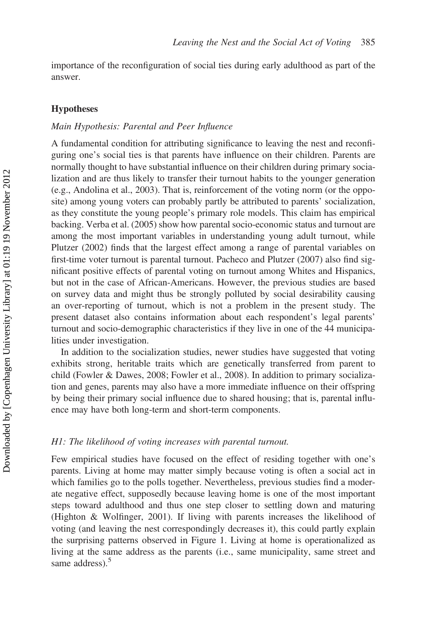importance of the reconfiguration of social ties during early adulthood as part of the answer.

## Hypotheses

## Main Hypothesis: Parental and Peer Influence

A fundamental condition for attributing significance to leaving the nest and reconfiguring one's social ties is that parents have influence on their children. Parents are normally thought to have substantial influence on their children during primary socialization and are thus likely to transfer their turnout habits to the younger generation (e.g., Andolina et al., 2003). That is, reinforcement of the voting norm (or the opposite) among young voters can probably partly be attributed to parents' socialization, as they constitute the young people's primary role models. This claim has empirical backing. Verba et al. (2005) show how parental socio-economic status and turnout are among the most important variables in understanding young adult turnout, while Plutzer (2002) finds that the largest effect among a range of parental variables on first-time voter turnout is parental turnout. Pacheco and Plutzer (2007) also find significant positive effects of parental voting on turnout among Whites and Hispanics, but not in the case of African-Americans. However, the previous studies are based on survey data and might thus be strongly polluted by social desirability causing an over-reporting of turnout, which is not a problem in the present study. The present dataset also contains information about each respondent's legal parents' turnout and socio-demographic characteristics if they live in one of the 44 municipalities under investigation.

In addition to the socialization studies, newer studies have suggested that voting exhibits strong, heritable traits which are genetically transferred from parent to child (Fowler & Dawes, 2008; Fowler et al., 2008). In addition to primary socialization and genes, parents may also have a more immediate influence on their offspring by being their primary social influence due to shared housing; that is, parental influence may have both long-term and short-term components.

## H1: The likelihood of voting increases with parental turnout.

Few empirical studies have focused on the effect of residing together with one's parents. Living at home may matter simply because voting is often a social act in which families go to the polls together. Nevertheless, previous studies find a moderate negative effect, supposedly because leaving home is one of the most important steps toward adulthood and thus one step closer to settling down and maturing (Highton & Wolfinger, 2001). If living with parents increases the likelihood of voting (and leaving the nest correspondingly decreases it), this could partly explain the surprising patterns observed in Figure 1. Living at home is operationalized as living at the same address as the parents (i.e., same municipality, same street and same address).<sup>5</sup>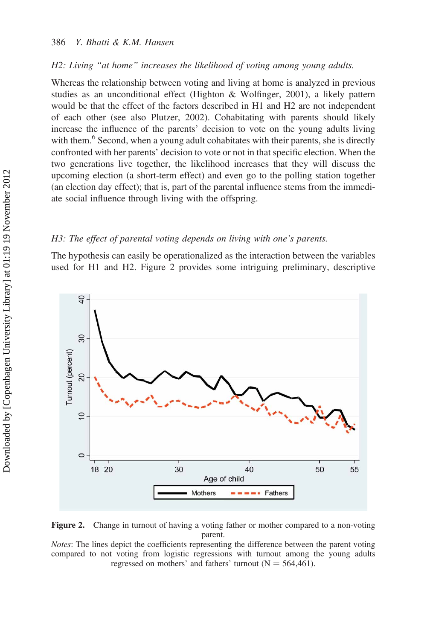## H2: Living "at home" increases the likelihood of voting among young adults.

Whereas the relationship between voting and living at home is analyzed in previous studies as an unconditional effect (Highton & Wolfinger, 2001), a likely pattern would be that the effect of the factors described in H1 and H2 are not independent of each other (see also Plutzer, 2002). Cohabitating with parents should likely increase the influence of the parents' decision to vote on the young adults living with them.<sup>6</sup> Second, when a young adult cohabitates with their parents, she is directly confronted with her parents' decision to vote or not in that specific election. When the two generations live together, the likelihood increases that they will discuss the upcoming election (a short-term effect) and even go to the polling station together (an election day effect); that is, part of the parental influence stems from the immediate social influence through living with the offspring.

## H3: The effect of parental voting depends on living with one's parents.

The hypothesis can easily be operationalized as the interaction between the variables used for H1 and H2. Figure 2 provides some intriguing preliminary, descriptive



Figure 2. Change in turnout of having a voting father or mother compared to a non-voting parent.

Notes: The lines depict the coefficients representing the difference between the parent voting compared to not voting from logistic regressions with turnout among the young adults regressed on mothers' and fathers' turnout ( $N = 564,461$ ).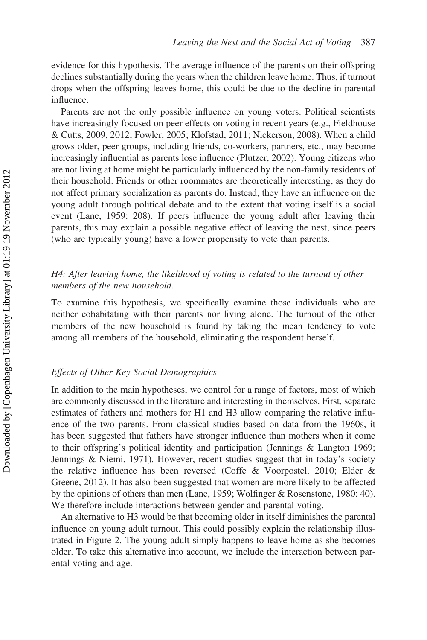evidence for this hypothesis. The average influence of the parents on their offspring declines substantially during the years when the children leave home. Thus, if turnout drops when the offspring leaves home, this could be due to the decline in parental influence.

Parents are not the only possible influence on young voters. Political scientists have increasingly focused on peer effects on voting in recent years (e.g., Fieldhouse & Cutts, 2009, 2012; Fowler, 2005; Klofstad, 2011; Nickerson, 2008). When a child grows older, peer groups, including friends, co-workers, partners, etc., may become increasingly influential as parents lose influence (Plutzer, 2002). Young citizens who are not living at home might be particularly influenced by the non-family residents of their household. Friends or other roommates are theoretically interesting, as they do not affect primary socialization as parents do. Instead, they have an influence on the young adult through political debate and to the extent that voting itself is a social event (Lane, 1959: 208). If peers influence the young adult after leaving their parents, this may explain a possible negative effect of leaving the nest, since peers (who are typically young) have a lower propensity to vote than parents.

# H4: After leaving home, the likelihood of voting is related to the turnout of other members of the new household.

To examine this hypothesis, we specifically examine those individuals who are neither cohabitating with their parents nor living alone. The turnout of the other members of the new household is found by taking the mean tendency to vote among all members of the household, eliminating the respondent herself.

# Effects of Other Key Social Demographics

In addition to the main hypotheses, we control for a range of factors, most of which are commonly discussed in the literature and interesting in themselves. First, separate estimates of fathers and mothers for H1 and H3 allow comparing the relative influence of the two parents. From classical studies based on data from the 1960s, it has been suggested that fathers have stronger influence than mothers when it come to their offspring's political identity and participation (Jennings & Langton 1969; Jennings & Niemi, 1971). However, recent studies suggest that in today's society the relative influence has been reversed (Coffe & Voorpostel, 2010; Elder & Greene, 2012). It has also been suggested that women are more likely to be affected by the opinions of others than men (Lane, 1959; Wolfinger & Rosenstone, 1980: 40). We therefore include interactions between gender and parental voting.

An alternative to H3 would be that becoming older in itself diminishes the parental influence on young adult turnout. This could possibly explain the relationship illustrated in Figure 2. The young adult simply happens to leave home as she becomes older. To take this alternative into account, we include the interaction between parental voting and age.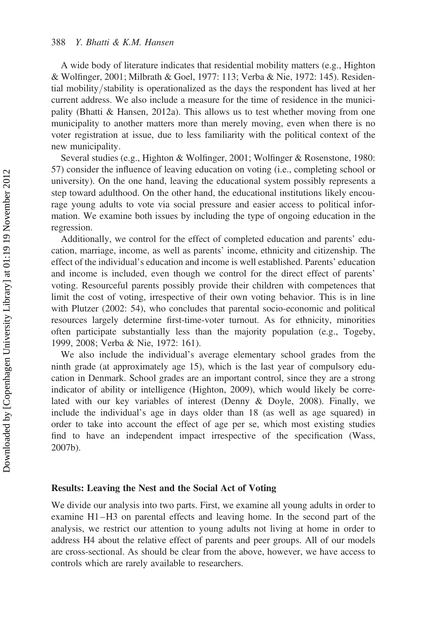A wide body of literature indicates that residential mobility matters (e.g., Highton & Wolfinger, 2001; Milbrath & Goel, 1977: 113; Verba & Nie, 1972: 145). Residential mobility/stability is operationalized as the days the respondent has lived at her current address. We also include a measure for the time of residence in the municipality (Bhatti & Hansen, 2012a). This allows us to test whether moving from one municipality to another matters more than merely moving, even when there is no voter registration at issue, due to less familiarity with the political context of the new municipality.

Several studies (e.g., Highton & Wolfinger, 2001; Wolfinger & Rosenstone, 1980: 57) consider the influence of leaving education on voting (i.e., completing school or university). On the one hand, leaving the educational system possibly represents a step toward adulthood. On the other hand, the educational institutions likely encourage young adults to vote via social pressure and easier access to political information. We examine both issues by including the type of ongoing education in the regression.

Additionally, we control for the effect of completed education and parents' education, marriage, income, as well as parents' income, ethnicity and citizenship. The effect of the individual's education and income is well established. Parents' education and income is included, even though we control for the direct effect of parents' voting. Resourceful parents possibly provide their children with competences that limit the cost of voting, irrespective of their own voting behavior. This is in line with Plutzer (2002: 54), who concludes that parental socio-economic and political resources largely determine first-time-voter turnout. As for ethnicity, minorities often participate substantially less than the majority population (e.g., Togeby, 1999, 2008; Verba & Nie, 1972: 161).

We also include the individual's average elementary school grades from the ninth grade (at approximately age 15), which is the last year of compulsory education in Denmark. School grades are an important control, since they are a strong indicator of ability or intelligence (Highton, 2009), which would likely be correlated with our key variables of interest (Denny & Doyle, 2008). Finally, we include the individual's age in days older than 18 (as well as age squared) in order to take into account the effect of age per se, which most existing studies find to have an independent impact irrespective of the specification (Wass, 2007b).

## Results: Leaving the Nest and the Social Act of Voting

We divide our analysis into two parts. First, we examine all young adults in order to examine H1 –H3 on parental effects and leaving home. In the second part of the analysis, we restrict our attention to young adults not living at home in order to address H4 about the relative effect of parents and peer groups. All of our models are cross-sectional. As should be clear from the above, however, we have access to controls which are rarely available to researchers.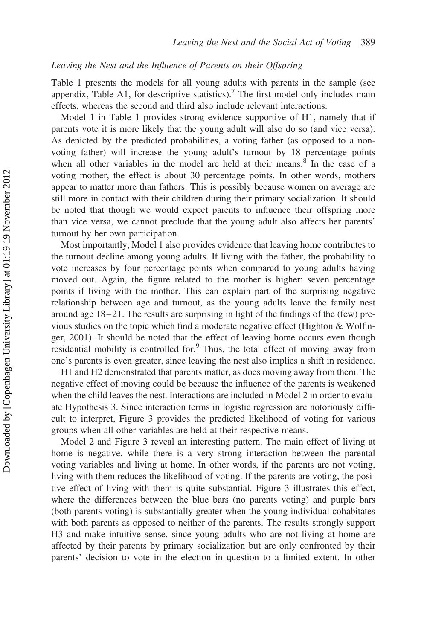# Leaving the Nest and the Influence of Parents on their Offspring

Table 1 presents the models for all young adults with parents in the sample (see appendix, Table A1, for descriptive statistics).<sup>7</sup> The first model only includes main effects, whereas the second and third also include relevant interactions.

Model 1 in Table 1 provides strong evidence supportive of H1, namely that if parents vote it is more likely that the young adult will also do so (and vice versa). As depicted by the predicted probabilities, a voting father (as opposed to a nonvoting father) will increase the young adult's turnout by 18 percentage points when all other variables in the model are held at their means.<sup>8</sup> In the case of a voting mother, the effect is about 30 percentage points. In other words, mothers appear to matter more than fathers. This is possibly because women on average are still more in contact with their children during their primary socialization. It should be noted that though we would expect parents to influence their offspring more than vice versa, we cannot preclude that the young adult also affects her parents' turnout by her own participation.

Most importantly, Model 1 also provides evidence that leaving home contributes to the turnout decline among young adults. If living with the father, the probability to vote increases by four percentage points when compared to young adults having moved out. Again, the figure related to the mother is higher: seven percentage points if living with the mother. This can explain part of the surprising negative relationship between age and turnout, as the young adults leave the family nest around age  $18-21$ . The results are surprising in light of the findings of the (few) previous studies on the topic which find a moderate negative effect (Highton & Wolfinger, 2001). It should be noted that the effect of leaving home occurs even though residential mobility is controlled for.<sup>9</sup> Thus, the total effect of moving away from one's parents is even greater, since leaving the nest also implies a shift in residence.

H1 and H2 demonstrated that parents matter, as does moving away from them. The negative effect of moving could be because the influence of the parents is weakened when the child leaves the nest. Interactions are included in Model 2 in order to evaluate Hypothesis 3. Since interaction terms in logistic regression are notoriously difficult to interpret, Figure 3 provides the predicted likelihood of voting for various groups when all other variables are held at their respective means.

Model 2 and Figure 3 reveal an interesting pattern. The main effect of living at home is negative, while there is a very strong interaction between the parental voting variables and living at home. In other words, if the parents are not voting, living with them reduces the likelihood of voting. If the parents are voting, the positive effect of living with them is quite substantial. Figure 3 illustrates this effect, where the differences between the blue bars (no parents voting) and purple bars (both parents voting) is substantially greater when the young individual cohabitates with both parents as opposed to neither of the parents. The results strongly support H3 and make intuitive sense, since young adults who are not living at home are affected by their parents by primary socialization but are only confronted by their parents' decision to vote in the election in question to a limited extent. In other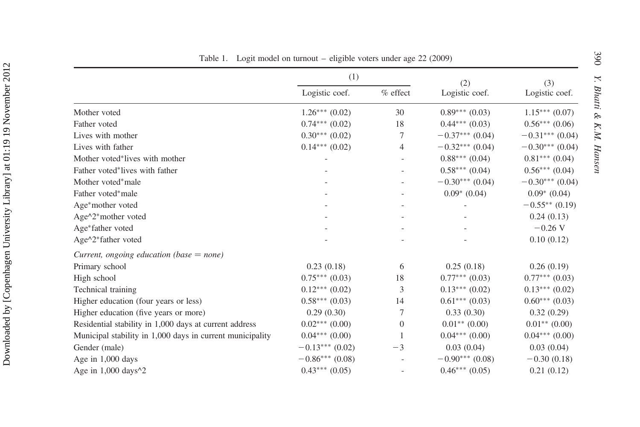390

Y. Bhatti & K.M. Hansen

Y. Bhatti & K.M. Hansen

| Table 1. Logit model on turnout – eligible voters under age 22 (2009) |  |  |
|-----------------------------------------------------------------------|--|--|
|                                                                       |  |  |

|                                                           | (1)               |            | (2)               | (3)               |
|-----------------------------------------------------------|-------------------|------------|-------------------|-------------------|
|                                                           | Logistic coef.    | $%$ effect | Logistic coef.    | Logistic coef.    |
| Mother voted                                              | $1.26***(0.02)$   | 30         | $0.89***(0.03)$   | $1.15***(0.07)$   |
| Father voted                                              | $0.74***(0.02)$   | 18         | $0.44***(0.03)$   | $0.56***(0.06)$   |
| Lives with mother                                         | $0.30***(0.02)$   | 7          | $-0.37***$ (0.04) | $-0.31***$ (0.04) |
| Lives with father                                         | $0.14***(0.02)$   | 4          | $-0.32***(0.04)$  | $-0.30***$ (0.04) |
| Mother voted*lives with mother                            |                   |            | $0.88***(0.04)$   | $0.81***(0.04)$   |
| Father voted*lives with father                            |                   |            | $0.58***(0.04)$   | $0.56***(0.04)$   |
| Mother voted*male                                         |                   |            | $-0.30***$ (0.04) | $-0.30***$ (0.04) |
| Father voted*male                                         |                   |            | $0.09*$ (0.04)    | $0.09*$ (0.04)    |
| Age*mother voted                                          |                   |            |                   | $-0.55**$ (0.19)  |
| $Age^2*mother$ voted                                      |                   |            |                   | 0.24(0.13)        |
| Age*father voted                                          |                   |            |                   | $-0.26$ V         |
| Age^2*father voted                                        |                   |            |                   | 0.10(0.12)        |
| Current, ongoing education (base $=$ none)                |                   |            |                   |                   |
| Primary school                                            | 0.23(0.18)        | 6          | 0.25(0.18)        | 0.26(0.19)        |
| High school                                               | $0.75***(0.03)$   | 18         | $0.77***(0.03)$   | $0.77***$ (0.03)  |
| Technical training                                        | $0.12***(0.02)$   | 3          | $0.13***(0.02)$   | $0.13***(0.02)$   |
| Higher education (four years or less)                     | $0.58***(0.03)$   | 14         | $0.61***(0.03)$   | $0.60***(0.03)$   |
| Higher education (five years or more)                     | 0.29(0.30)        | 7          | 0.33(0.30)        | 0.32(0.29)        |
| Residential stability in 1,000 days at current address    | $0.02***(0.00)$   | $\theta$   | $0.01***(0.00)$   | $0.01**$ (0.00)   |
| Municipal stability in 1,000 days in current municipality | $0.04***(0.00)$   |            | $0.04***(0.00)$   | $0.04***(0.00)$   |
| Gender (male)                                             | $-0.13***$ (0.02) | $-3$       | 0.03(0.04)        | 0.03(0.04)        |
| Age in 1,000 days                                         | $-0.86***$ (0.08) |            | $-0.90***(0.08)$  | $-0.30(0.18)$     |
| Age in $1,000$ days <sup><math>\wedge</math>2</sup>       | $0.43***(0.05)$   |            | $0.46***(0.05)$   | 0.21(0.12)        |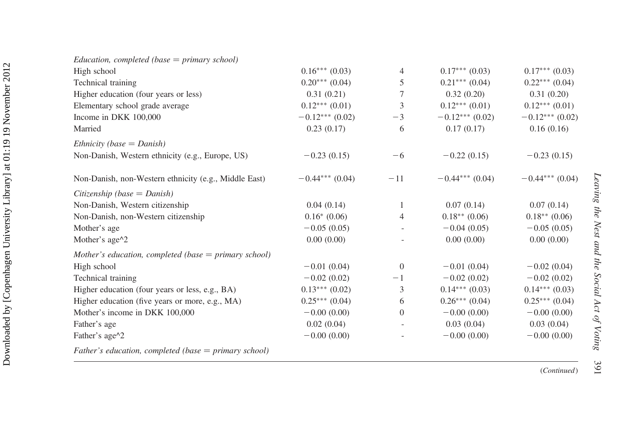| Education, completed (base $=$ primary school)          |                  |                |                  |                  |
|---------------------------------------------------------|------------------|----------------|------------------|------------------|
| High school                                             | $0.16***(0.03)$  | 4              | $0.17***(0.03)$  | $0.17***(0.03)$  |
| Technical training                                      | $0.20***(0.04)$  | 5              | $0.21***(0.04)$  | $0.22***(0.04)$  |
| Higher education (four years or less)                   | 0.31(0.21)       |                | 0.32(0.20)       | 0.31(0.20)       |
| Elementary school grade average                         | $0.12***(0.01)$  | 3              | $0.12***(0.01)$  | $0.12***(0.01)$  |
| Income in DKK 100,000                                   | $-0.12***(0.02)$ | $-3$           | $-0.12***(0.02)$ | $-0.12***(0.02)$ |
| Married                                                 | 0.23(0.17)       | 6              | 0.17(0.17)       | 0.16(0.16)       |
| Ethnicity (base $=$ Danish)                             |                  |                |                  |                  |
| Non-Danish, Western ethnicity (e.g., Europe, US)        | $-0.23(0.15)$    | $-6$           | $-0.22(0.15)$    | $-0.23(0.15)$    |
| Non-Danish, non-Western ethnicity (e.g., Middle East)   | $-0.44***(0.04)$ | $-11$          | $-0.44***(0.04)$ | $-0.44***(0.04)$ |
| Citizenship (base = $Danish$ )                          |                  |                |                  |                  |
| Non-Danish, Western citizenship                         | 0.04(0.14)       | $\mathbf{1}$   | 0.07(0.14)       | 0.07(0.14)       |
| Non-Danish, non-Western citizenship                     | $0.16*(0.06)$    | $\overline{4}$ | $0.18**$ (0.06)  | $0.18**$ (0.06)  |
| Mother's age                                            | $-0.05(0.05)$    |                | $-0.04(0.05)$    | $-0.05(0.05)$    |
| Mother's age <sup><math>\lambda</math>2</sup>           | 0.00(0.00)       |                | 0.00(0.00)       | 0.00(0.00)       |
| Mother's education, completed (base $=$ primary school) |                  |                |                  |                  |
| High school                                             | $-0.01(0.04)$    | $\theta$       | $-0.01(0.04)$    | $-0.02(0.04)$    |
| Technical training                                      | $-0.02(0.02)$    | $-1$           | $-0.02(0.02)$    | $-0.02(0.02)$    |
| Higher education (four years or less, e.g., BA)         | $0.13***(0.02)$  | 3              | $0.14***(0.03)$  | $0.14***(0.03)$  |
| Higher education (five years or more, e.g., MA)         | $0.25***(0.04)$  | 6              | $0.26***(0.04)$  | $0.25***(0.04)$  |
| Mother's income in DKK 100,000                          | $-0.00(0.00)$    | $\Omega$       | $-0.00(0.00)$    | $-0.00(0.00)$    |
| Father's age                                            | 0.02(0.04)       |                | 0.03(0.04)       | 0.03(0.04)       |
| Father's age^2                                          | $-0.00(0.00)$    |                | $-0.00(0.00)$    | $-0.00(0.00)$    |
| Father's education, completed (base $=$ primary school) |                  |                |                  |                  |

(Continued)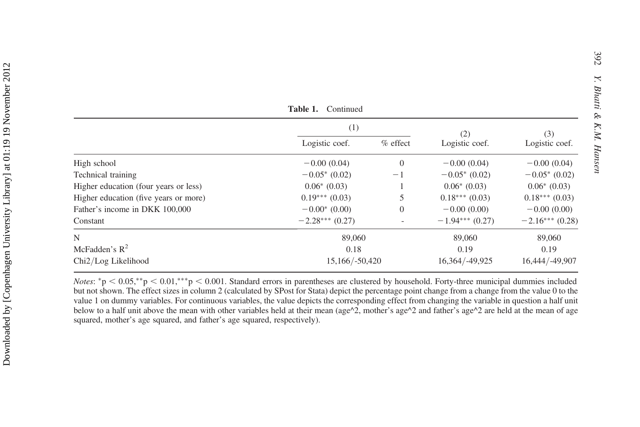| Downloaded by [Copenhagen University Library] at 01:19 19 November 2012 |                      |
|-------------------------------------------------------------------------|----------------------|
|                                                                         |                      |
|                                                                         |                      |
|                                                                         |                      |
|                                                                         |                      |
|                                                                         |                      |
|                                                                         |                      |
|                                                                         | ETEEF C IN NC INbvbs |
|                                                                         |                      |
|                                                                         |                      |
|                                                                         |                      |
|                                                                         |                      |
|                                                                         |                      |
|                                                                         |                      |
|                                                                         |                      |
|                                                                         |                      |
|                                                                         |                      |
|                                                                         |                      |
|                                                                         |                      |
|                                                                         |                      |
|                                                                         |                      |

|                                       | (1)              |                  |                       | (3)              |  |
|---------------------------------------|------------------|------------------|-----------------------|------------------|--|
|                                       | Logistic coef.   | $%$ effect       | (2)<br>Logistic coef. | Logistic coef.   |  |
| High school                           | $-0.00(0.04)$    | $\boldsymbol{0}$ | $-0.00(0.04)$         | $-0.00(0.04)$    |  |
| Technical training                    | $-0.05*(0.02)$   | $-1$             | $-0.05*(0.02)$        | $-0.05*(0.02)$   |  |
| Higher education (four years or less) | $0.06*(0.03)$    |                  | $0.06*(0.03)$         | $0.06*(0.03)$    |  |
| Higher education (five years or more) | $0.19***(0.03)$  | 5                | $0.18***(0.03)$       | $0.18***(0.03)$  |  |
| Father's income in DKK 100,000        | $-0.00*(0.00)$   | $\theta$         | $-0.00(0.00)$         | $-0.00(0.00)$    |  |
| Constant                              | $-2.28***(0.27)$ |                  | $-1.94***(0.27)$      | $-2.16***(0.28)$ |  |
|                                       | 89,060           |                  | 89,060                | 89,060           |  |
| McFadden's $R^2$                      | 0.18             |                  | 0.19                  | 0.19             |  |
| Chi2/Log Likelihood                   | 15,166/-50,420   |                  | 16,364/-49,925        | 16,444/-49,907   |  |

Table 1. Continued

*Notes*: \*p  $\leq 0.05$ ,\*\*p  $\leq 0.01$ ,\*\*\*p  $\leq 0.001$ . Standard errors in parentheses are clustered by household. Forty-three municipal dummies included but not shown. The effect sizes in column 2 (calculated by SPost for Stata) depict the percentage point change from <sup>a</sup> change from the value 0 to the value 1 on dummy variables. For continuous variables, the value depicts the corresponding effect from changing the variable in question <sup>a</sup> half unit below to a half unit above the mean with other variables held at their mean (age^2, mother's age^2 and father's age^2 are held at the mean of age squared, mother's age squared, and father's age squared, respectively).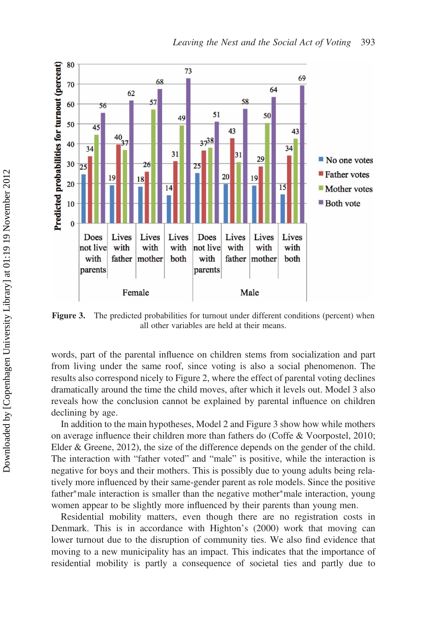

Figure 3. The predicted probabilities for turnout under different conditions (percent) when all other variables are held at their means.

words, part of the parental influence on children stems from socialization and part from living under the same roof, since voting is also a social phenomenon. The results also correspond nicely to Figure 2, where the effect of parental voting declines dramatically around the time the child moves, after which it levels out. Model 3 also reveals how the conclusion cannot be explained by parental influence on children declining by age.

In addition to the main hypotheses, Model 2 and Figure 3 show how while mothers on average influence their children more than fathers do (Coffe & Voorpostel, 2010; Elder & Greene, 2012), the size of the difference depends on the gender of the child. The interaction with "father voted" and "male" is positive, while the interaction is negative for boys and their mothers. This is possibly due to young adults being relatively more influenced by their same-gender parent as role models. Since the positive father∗male interaction is smaller than the negative mother∗male interaction, young women appear to be slightly more influenced by their parents than young men.

Residential mobility matters, even though there are no registration costs in Denmark. This is in accordance with Highton's (2000) work that moving can lower turnout due to the disruption of community ties. We also find evidence that moving to a new municipality has an impact. This indicates that the importance of residential mobility is partly a consequence of societal ties and partly due to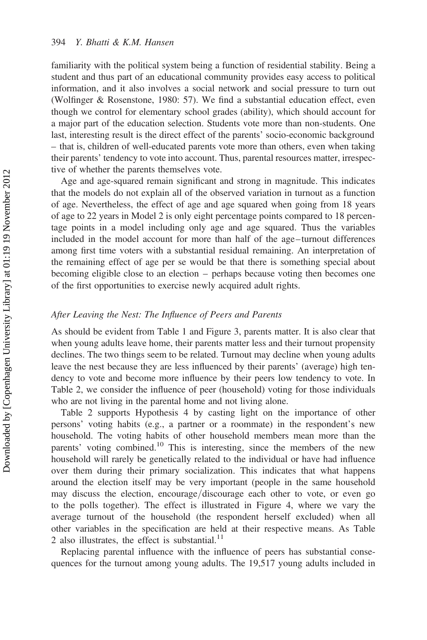familiarity with the political system being a function of residential stability. Being a student and thus part of an educational community provides easy access to political information, and it also involves a social network and social pressure to turn out (Wolfinger & Rosenstone, 1980: 57). We find a substantial education effect, even though we control for elementary school grades (ability), which should account for a major part of the education selection. Students vote more than non-students. One last, interesting result is the direct effect of the parents' socio-economic background – that is, children of well-educated parents vote more than others, even when taking their parents' tendency to vote into account. Thus, parental resources matter, irrespective of whether the parents themselves vote.

Age and age-squared remain significant and strong in magnitude. This indicates that the models do not explain all of the observed variation in turnout as a function of age. Nevertheless, the effect of age and age squared when going from 18 years of age to 22 years in Model 2 is only eight percentage points compared to 18 percentage points in a model including only age and age squared. Thus the variables included in the model account for more than half of the age-turnout differences among first time voters with a substantial residual remaining. An interpretation of the remaining effect of age per se would be that there is something special about becoming eligible close to an election – perhaps because voting then becomes one of the first opportunities to exercise newly acquired adult rights.

# After Leaving the Nest: The Influence of Peers and Parents

As should be evident from Table 1 and Figure 3, parents matter. It is also clear that when young adults leave home, their parents matter less and their turnout propensity declines. The two things seem to be related. Turnout may decline when young adults leave the nest because they are less influenced by their parents' (average) high tendency to vote and become more influence by their peers low tendency to vote. In Table 2, we consider the influence of peer (household) voting for those individuals who are not living in the parental home and not living alone.

Table 2 supports Hypothesis 4 by casting light on the importance of other persons' voting habits (e.g., a partner or a roommate) in the respondent's new household. The voting habits of other household members mean more than the parents' voting combined.<sup>10</sup> This is interesting, since the members of the new household will rarely be genetically related to the individual or have had influence over them during their primary socialization. This indicates that what happens around the election itself may be very important (people in the same household may discuss the election, encourage/discourage each other to vote, or even go to the polls together). The effect is illustrated in Figure 4, where we vary the average turnout of the household (the respondent herself excluded) when all other variables in the specification are held at their respective means. As Table 2 also illustrates, the effect is substantial. $^{11}$ 

Replacing parental influence with the influence of peers has substantial consequences for the turnout among young adults. The 19,517 young adults included in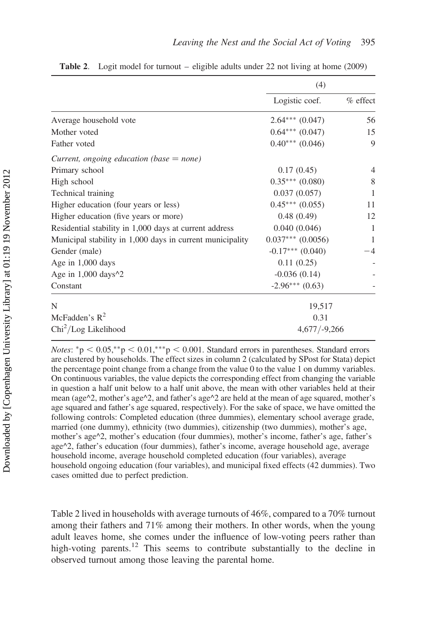|                                                           | (4)                   |                |  |
|-----------------------------------------------------------|-----------------------|----------------|--|
|                                                           | Logistic coef.        | % effect       |  |
| Average household vote                                    | $2.64***(0.047)$      | 56             |  |
| Mother voted                                              | $0.64***(0.047)$      | 15             |  |
| Father voted                                              | $0.40***$ $(0.046)$   | 9              |  |
| Current, ongoing education (base $=$ none)                |                       |                |  |
| Primary school                                            | 0.17(0.45)            | $\overline{4}$ |  |
| High school                                               | $0.35***(0.080)$      | 8              |  |
| Technical training                                        | 0.037(0.057)          | $\mathbf{1}$   |  |
| Higher education (four years or less)                     | $0.45***(0.055)$      | 11             |  |
| Higher education (five years or more)                     | 0.48(0.49)            | 12             |  |
| Residential stability in 1,000 days at current address    | 0.040(0.046)          | $\mathbf{1}$   |  |
| Municipal stability in 1,000 days in current municipality | $0.037***$ $(0.0056)$ | $\mathbf{1}$   |  |
| Gender (male)                                             | $-0.17***(0.040)$     | $-4$           |  |
| Age in $1,000$ days                                       | 0.11(0.25)            |                |  |
| Age in $1,000$ days <sup><math>\lambda</math>2</sup>      | $-0.036(0.14)$        |                |  |
| Constant                                                  | $-2.96***$ (0.63)     |                |  |
| N                                                         | 19,517                |                |  |
| McFadden's $R^2$                                          | 0.31                  |                |  |
| Chi <sup>2</sup> /Log Likelihood                          | $4,677/-9,266$        |                |  |

Table 2. Logit model for turnout – eligible adults under 22 not living at home (2009)

Notes: \*p < 0.05,\*\*p < 0.01,\*\*\*p < 0.001. Standard errors in parentheses. Standard errors are clustered by households. The effect sizes in column 2 (calculated by SPost for Stata) depict the percentage point change from a change from the value 0 to the value 1 on dummy variables. On continuous variables, the value depicts the corresponding effect from changing the variable in question a half unit below to a half unit above, the mean with other variables held at their mean (age^2, mother's age^2, and father's age^2 are held at the mean of age squared, mother's age squared and father's age squared, respectively). For the sake of space, we have omitted the following controls: Completed education (three dummies), elementary school average grade, married (one dummy), ethnicity (two dummies), citizenship (two dummies), mother's age, mother's age^2, mother's education (four dummies), mother's income, father's age, father's age^2, father's education (four dummies), father's income, average household age, average household income, average household completed education (four variables), average household ongoing education (four variables), and municipal fixed effects (42 dummies). Two cases omitted due to perfect prediction.

Table 2 lived in households with average turnouts of 46%, compared to a 70% turnout among their fathers and 71% among their mothers. In other words, when the young adult leaves home, she comes under the influence of low-voting peers rather than high-voting parents.<sup>12</sup> This seems to contribute substantially to the decline in observed turnout among those leaving the parental home.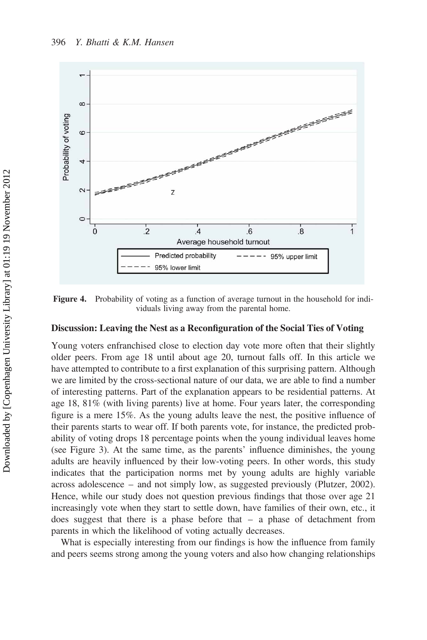

Figure 4. Probability of voting as a function of average turnout in the household for individuals living away from the parental home.

## Discussion: Leaving the Nest as a Reconfiguration of the Social Ties of Voting

Young voters enfranchised close to election day vote more often that their slightly older peers. From age 18 until about age 20, turnout falls off. In this article we have attempted to contribute to a first explanation of this surprising pattern. Although we are limited by the cross-sectional nature of our data, we are able to find a number of interesting patterns. Part of the explanation appears to be residential patterns. At age 18, 81% (with living parents) live at home. Four years later, the corresponding figure is a mere 15%. As the young adults leave the nest, the positive influence of their parents starts to wear off. If both parents vote, for instance, the predicted probability of voting drops 18 percentage points when the young individual leaves home (see Figure 3). At the same time, as the parents' influence diminishes, the young adults are heavily influenced by their low-voting peers. In other words, this study indicates that the participation norms met by young adults are highly variable across adolescence – and not simply low, as suggested previously (Plutzer, 2002). Hence, while our study does not question previous findings that those over age 21 increasingly vote when they start to settle down, have families of their own, etc., it does suggest that there is a phase before that – a phase of detachment from parents in which the likelihood of voting actually decreases.

What is especially interesting from our findings is how the influence from family and peers seems strong among the young voters and also how changing relationships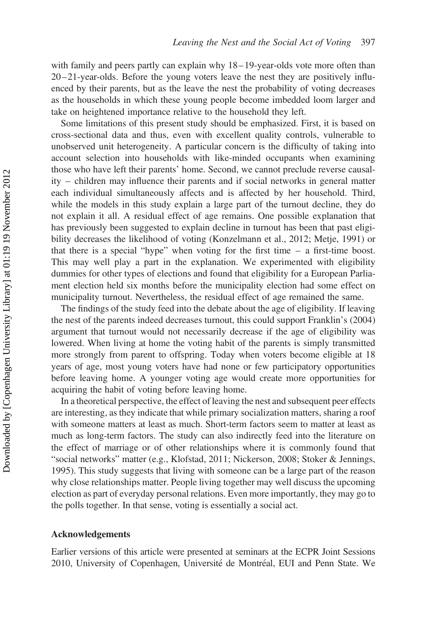with family and peers partly can explain why  $18-19$ -year-olds vote more often than 20– 21-year-olds. Before the young voters leave the nest they are positively influenced by their parents, but as the leave the nest the probability of voting decreases as the households in which these young people become imbedded loom larger and take on heightened importance relative to the household they left.

Some limitations of this present study should be emphasized. First, it is based on cross-sectional data and thus, even with excellent quality controls, vulnerable to unobserved unit heterogeneity. A particular concern is the difficulty of taking into account selection into households with like-minded occupants when examining those who have left their parents' home. Second, we cannot preclude reverse causality – children may influence their parents and if social networks in general matter each individual simultaneously affects and is affected by her household. Third, while the models in this study explain a large part of the turnout decline, they do not explain it all. A residual effect of age remains. One possible explanation that has previously been suggested to explain decline in turnout has been that past eligibility decreases the likelihood of voting (Konzelmann et al., 2012; Metje, 1991) or that there is a special "hype" when voting for the first time – a first-time boost. This may well play a part in the explanation. We experimented with eligibility dummies for other types of elections and found that eligibility for a European Parliament election held six months before the municipality election had some effect on municipality turnout. Nevertheless, the residual effect of age remained the same.

The findings of the study feed into the debate about the age of eligibility. If leaving the nest of the parents indeed decreases turnout, this could support Franklin's (2004) argument that turnout would not necessarily decrease if the age of eligibility was lowered. When living at home the voting habit of the parents is simply transmitted more strongly from parent to offspring. Today when voters become eligible at 18 years of age, most young voters have had none or few participatory opportunities before leaving home. A younger voting age would create more opportunities for acquiring the habit of voting before leaving home.

In a theoretical perspective, the effect of leaving the nest and subsequent peer effects are interesting, as they indicate that while primary socialization matters, sharing a roof with someone matters at least as much. Short-term factors seem to matter at least as much as long-term factors. The study can also indirectly feed into the literature on the effect of marriage or of other relationships where it is commonly found that "social networks" matter (e.g., Klofstad, 2011; Nickerson, 2008; Stoker & Jennings, 1995). This study suggests that living with someone can be a large part of the reason why close relationships matter. People living together may well discuss the upcoming election as part of everyday personal relations. Even more importantly, they may go to the polls together. In that sense, voting is essentially a social act.

## Acknowledgements

Earlier versions of this article were presented at seminars at the ECPR Joint Sessions 2010, University of Copenhagen, Université de Montréal, EUI and Penn State. We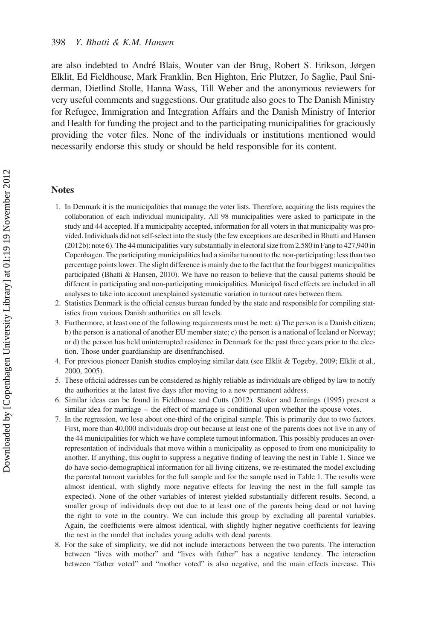are also indebted to Andre´ Blais, Wouter van der Brug, Robert S. Erikson, Jørgen Elklit, Ed Fieldhouse, Mark Franklin, Ben Highton, Eric Plutzer, Jo Saglie, Paul Sniderman, Dietlind Stolle, Hanna Wass, Till Weber and the anonymous reviewers for very useful comments and suggestions. Our gratitude also goes to The Danish Ministry for Refugee, Immigration and Integration Affairs and the Danish Ministry of Interior and Health for funding the project and to the participating municipalities for graciously providing the voter files. None of the individuals or institutions mentioned would necessarily endorse this study or should be held responsible for its content.

## Notes

- 1. In Denmark it is the municipalities that manage the voter lists. Therefore, acquiring the lists requires the collaboration of each individual municipality. All 98 municipalities were asked to participate in the study and 44 accepted. If a municipality accepted, information for all voters in that municipality was provided. Individuals did not self-select into the study (the few exceptions are described in Bhatti and Hansen (2012b): note 6). The 44 municipalities vary substantially in electoral size from 2,580 in Fanø to 427,940 in Copenhagen. The participating municipalities had a similar turnout to the non-participating: less than two percentage points lower. The slight difference is mainly due to the fact that the four biggest municipalities participated (Bhatti & Hansen, 2010). We have no reason to believe that the causal patterns should be different in participating and non-participating municipalities. Municipal fixed effects are included in all analyses to take into account unexplained systematic variation in turnout rates between them.
- 2. Statistics Denmark is the official census bureau funded by the state and responsible for compiling statistics from various Danish authorities on all levels.
- 3. Furthermore, at least one of the following requirements must be met: a) The person is a Danish citizen; b) the person is a national of another EU member state; c) the person is a national of Iceland or Norway; or d) the person has held uninterrupted residence in Denmark for the past three years prior to the election. Those under guardianship are disenfranchised.
- 4. For previous pioneer Danish studies employing similar data (see Elklit & Togeby, 2009; Elklit et al., 2000, 2005).
- 5. These official addresses can be considered as highly reliable as individuals are obliged by law to notify the authorities at the latest five days after moving to a new permanent address.
- 6. Similar ideas can be found in Fieldhouse and Cutts (2012). Stoker and Jennings (1995) present a similar idea for marriage – the effect of marriage is conditional upon whether the spouse votes.
- 7. In the regression, we lose about one-third of the original sample. This is primarily due to two factors. First, more than 40,000 individuals drop out because at least one of the parents does not live in any of the 44 municipalities for which we have complete turnout information. This possibly produces an overrepresentation of individuals that move within a municipality as opposed to from one municipality to another. If anything, this ought to suppress a negative finding of leaving the nest in Table 1. Since we do have socio-demographical information for all living citizens, we re-estimated the model excluding the parental turnout variables for the full sample and for the sample used in Table 1. The results were almost identical, with slightly more negative effects for leaving the nest in the full sample (as expected). None of the other variables of interest yielded substantially different results. Second, a smaller group of individuals drop out due to at least one of the parents being dead or not having the right to vote in the country. We can include this group by excluding all parental variables. Again, the coefficients were almost identical, with slightly higher negative coefficients for leaving the nest in the model that includes young adults with dead parents.
- 8. For the sake of simplicity, we did not include interactions between the two parents. The interaction between "lives with mother" and "lives with father" has a negative tendency. The interaction between "father voted" and "mother voted" is also negative, and the main effects increase. This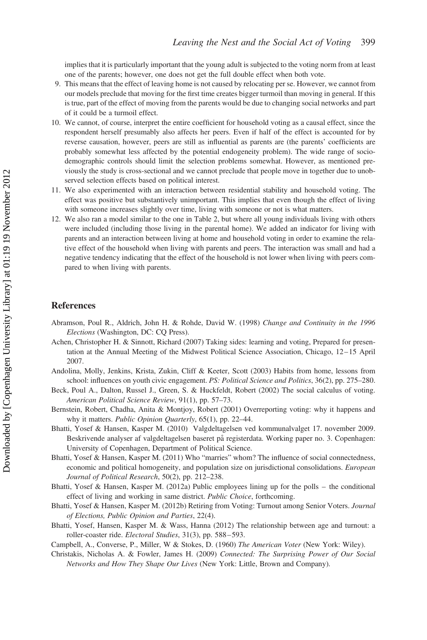implies that it is particularly important that the young adult is subjected to the voting norm from at least one of the parents; however, one does not get the full double effect when both vote.

- 9. This means that the effect of leaving home is not caused by relocating per se. However, we cannot from our models preclude that moving for the first time creates bigger turmoil than moving in general. If this is true, part of the effect of moving from the parents would be due to changing social networks and part of it could be a turmoil effect.
- 10. We cannot, of course, interpret the entire coefficient for household voting as a causal effect, since the respondent herself presumably also affects her peers. Even if half of the effect is accounted for by reverse causation, however, peers are still as influential as parents are (the parents' coefficients are probably somewhat less affected by the potential endogeneity problem). The wide range of sociodemographic controls should limit the selection problems somewhat. However, as mentioned previously the study is cross-sectional and we cannot preclude that people move in together due to unobserved selection effects based on political interest.
- 11. We also experimented with an interaction between residential stability and household voting. The effect was positive but substantively unimportant. This implies that even though the effect of living with someone increases slightly over time, living with someone or not is what matters.
- 12. We also ran a model similar to the one in Table 2, but where all young individuals living with others were included (including those living in the parental home). We added an indicator for living with parents and an interaction between living at home and household voting in order to examine the relative effect of the household when living with parents and peers. The interaction was small and had a negative tendency indicating that the effect of the household is not lower when living with peers compared to when living with parents.

## **References**

- Abramson, Poul R., Aldrich, John H. & Rohde, David W. (1998) Change and Continuity in the 1996 Elections (Washington, DC: CQ Press).
- Achen, Christopher H. & Sinnott, Richard (2007) Taking sides: learning and voting, Prepared for presentation at the Annual Meeting of the Midwest Political Science Association, Chicago, 12–15 April 2007.
- Andolina, Molly, Jenkins, Krista, Zukin, Cliff & Keeter, Scott (2003) Habits from home, lessons from school: influences on youth civic engagement. *PS: Political Science and Politics*, 36(2), pp. 275–280.
- Beck, Poul A., Dalton, Russel J., Green, S. & Huckfeldt, Robert (2002) The social calculus of voting. American Political Science Review, 91(1), pp. 57–73.
- Bernstein, Robert, Chadha, Anita & Montjoy, Robert (2001) Overreporting voting: why it happens and why it matters. Public Opinion Quarterly, 65(1), pp. 22–44.
- Bhatti, Yosef & Hansen, Kasper M. (2010) Valgdeltagelsen ved kommunalvalget 17. november 2009. Beskrivende analyser af valgdeltagelsen baseret på registerdata. Working paper no. 3. Copenhagen: University of Copenhagen, Department of Political Science.
- Bhatti, Yosef & Hansen, Kasper M. (2011) Who "marries" whom? The influence of social connectedness, economic and political homogeneity, and population size on jurisdictional consolidations. European Journal of Political Research, 50(2), pp. 212–238.
- Bhatti, Yosef & Hansen, Kasper M. (2012a) Public employees lining up for the polls the conditional effect of living and working in same district. Public Choice, forthcoming.
- Bhatti, Yosef & Hansen, Kasper M. (2012b) Retiring from Voting: Turnout among Senior Voters. Journal of Elections, Public Opinion and Parties, 22(4).
- Bhatti, Yosef, Hansen, Kasper M. & Wass, Hanna (2012) The relationship between age and turnout: a roller-coaster ride. Electoral Studies, 31(3), pp. 588–593.
- Campbell, A., Converse, P., Miller, W & Stokes, D. (1960) The American Voter (New York: Wiley).
- Christakis, Nicholas A. & Fowler, James H. (2009) Connected: The Surprising Power of Our Social Networks and How They Shape Our Lives (New York: Little, Brown and Company).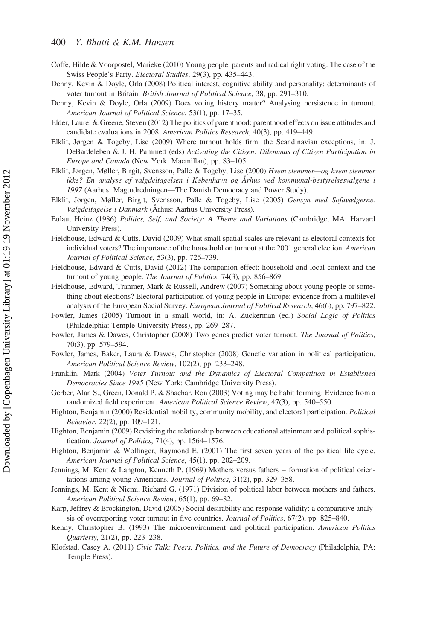# 400 Y. Bhatti & K.M. Hansen

- Coffe, Hilde & Voorpostel, Marieke (2010) Young people, parents and radical right voting. The case of the Swiss People's Party. Electoral Studies, 29(3), pp. 435–443.
- Denny, Kevin & Doyle, Orla (2008) Political interest, cognitive ability and personality: determinants of voter turnout in Britain. British Journal of Political Science, 38, pp. 291–310.
- Denny, Kevin & Doyle, Orla (2009) Does voting history matter? Analysing persistence in turnout. American Journal of Political Science, 53(1), pp. 17–35.
- Elder, Laurel & Greene, Steven (2012) The politics of parenthood: parenthood effects on issue attitudes and candidate evaluations in 2008. American Politics Research, 40(3), pp. 419–449.
- Elklit, Jørgen & Togeby, Lise (2009) Where turnout holds firm: the Scandinavian exceptions, in: J. DeBardeleben & J. H. Pammett (eds) Activating the Citizen: Dilemmas of Citizen Participation in Europe and Canada (New York: Macmillan), pp. 83–105.
- Elklit, Jørgen, Møller, Birgit, Svensson, Palle & Togeby, Lise (2000) Hvem stemmer—og hvem stemmer ikke? En analyse af valgdeltagelsen i København og A˚rhus ved kommunal-bestyrelsesvalgene i 1997 (Aarhus: Magtudredningen—The Danish Democracy and Power Study).
- Elklit, Jørgen, Møller, Birgit, Svensson, Palle & Togeby, Lise (2005) Gensyn med Sofavælgerne. Valgdeltagelse i Danmark (Århus: Aarhus University Press).
- Eulau, Heinz (1986) Politics, Self, and Society: A Theme and Variations (Cambridge, MA: Harvard University Press).
- Fieldhouse, Edward & Cutts, David (2009) What small spatial scales are relevant as electoral contexts for individual voters? The importance of the household on turnout at the 2001 general election. American Journal of Political Science, 53(3), pp. 726–739.
- Fieldhouse, Edward & Cutts, David (2012) The companion effect: household and local context and the turnout of young people. The Journal of Politics, 74(3), pp. 856–869.
- Fieldhouse, Edward, Tranmer, Mark & Russell, Andrew (2007) Something about young people or something about elections? Electoral participation of young people in Europe: evidence from a multilevel analysis of the European Social Survey. European Journal of Political Research, 46(6), pp. 797–822.
- Fowler, James (2005) Turnout in a small world, in: A. Zuckerman (ed.) Social Logic of Politics (Philadelphia: Temple University Press), pp. 269–287.
- Fowler, James & Dawes, Christopher (2008) Two genes predict voter turnout. The Journal of Politics, 70(3), pp. 579–594.
- Fowler, James, Baker, Laura & Dawes, Christopher (2008) Genetic variation in political participation. American Political Science Review, 102(2), pp. 233–248.
- Franklin, Mark (2004) Voter Turnout and the Dynamics of Electoral Competition in Established Democracies Since 1945 (New York: Cambridge University Press).
- Gerber, Alan S., Green, Donald P. & Shachar, Ron (2003) Voting may be habit forming: Evidence from a randomized field experiment. American Political Science Review, 47(3), pp. 540–550.
- Highton, Benjamin (2000) Residential mobility, community mobility, and electoral participation. Political Behavior, 22(2), pp. 109–121.
- Highton, Benjamin (2009) Revisiting the relationship between educational attainment and political sophistication. Journal of Politics, 71(4), pp. 1564–1576.
- Highton, Benjamin & Wolfinger, Raymond E. (2001) The first seven years of the political life cycle. American Journal of Political Science, 45(1), pp. 202–209.
- Jennings, M. Kent & Langton, Kenneth P. (1969) Mothers versus fathers formation of political orientations among young Americans. Journal of Politics, 31(2), pp. 329–358.
- Jennings, M. Kent & Niemi, Richard G. (1971) Division of political labor between mothers and fathers. American Political Science Review, 65(1), pp. 69–82.
- Karp, Jeffrey & Brockington, David (2005) Social desirability and response validity: a comparative analysis of overreporting voter turnout in five countries. Journal of Politics, 67(2), pp. 825–840.
- Kenny, Christopher B. (1993) The microenvironment and political participation. American Politics Quarterly, 21(2), pp. 223–238.
- Klofstad, Casey A. (2011) Civic Talk: Peers, Politics, and the Future of Democracy (Philadelphia, PA: Temple Press).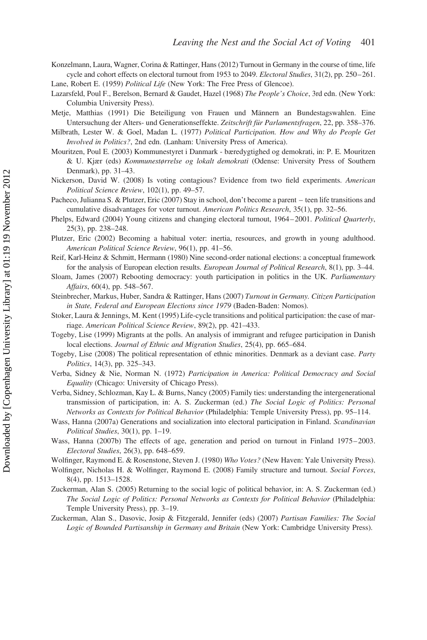Konzelmann, Laura, Wagner, Corina & Rattinger, Hans (2012) Turnout in Germany in the course of time, life cycle and cohort effects on electoral turnout from 1953 to 2049. Electoral Studies, 31(2), pp. 250–261. Lane, Robert E. (1959) Political Life (New York: The Free Press of Glencoe).

- Lazarsfeld, Poul F., Berelson, Bernard & Gaudet, Hazel (1968) The People's Choice, 3rd edn. (New York: Columbia University Press).
- Metje, Matthias (1991) Die Beteiligung von Frauen und Männern an Bundestagswahlen. Eine Untersuchung der Alters- und Generationseffekte. Zeitschrift für Parlamentsfragen, 22, pp. 358–376.
- Milbrath, Lester W. & Goel, Madan L. (1977) Political Participation. How and Why do People Get Involved in Politics?, 2nd edn. (Lanham: University Press of America).
- Mouritzen, Poul E. (2003) Kommunestyret i Danmark bæredygtighed og demokrati, in: P. E. Mouritzen & U. Kjær (eds) Kommunestørrelse og lokalt demokrati (Odense: University Press of Southern Denmark), pp. 31–43.
- Nickerson, David W. (2008) Is voting contagious? Evidence from two field experiments. American Political Science Review, 102(1), pp. 49–57.
- Pacheco, Julianna S. & Plutzer, Eric (2007) Stay in school, don't become a parent teen life transitions and cumulative disadvantages for voter turnout. American Politics Research, 35(1), pp. 32–56.
- Phelps, Edward (2004) Young citizens and changing electoral turnout, 1964–2001. Political Quarterly, 25(3), pp. 238–248.
- Plutzer, Eric (2002) Becoming a habitual voter: inertia, resources, and growth in young adulthood. American Political Science Review, 96(1), pp. 41–56.
- Reif, Karl-Heinz & Schmitt, Hermann (1980) Nine second-order national elections: a conceptual framework for the analysis of European election results. European Journal of Political Research, 8(1), pp. 3–44.
- Sloam, James (2007) Rebooting democracy: youth participation in politics in the UK. Parliamentary Affairs, 60(4), pp. 548–567.
- Steinbrecher, Markus, Huber, Sandra & Rattinger, Hans (2007) Turnout in Germany. Citizen Participation in State, Federal and European Elections since 1979 (Baden-Baden: Nomos).
- Stoker, Laura & Jennings, M. Kent (1995) Life-cycle transitions and political participation: the case of marriage. American Political Science Review, 89(2), pp. 421–433.
- Togeby, Lise (1999) Migrants at the polls. An analysis of immigrant and refugee participation in Danish local elections. Journal of Ethnic and Migration Studies, 25(4), pp. 665–684.
- Togeby, Lise (2008) The political representation of ethnic minorities. Denmark as a deviant case. Party Politics, 14(3), pp. 325–343.
- Verba, Sidney & Nie, Norman N. (1972) Participation in America: Political Democracy and Social Equality (Chicago: University of Chicago Press).
- Verba, Sidney, Schlozman, Kay L. & Burns, Nancy (2005) Family ties: understanding the intergenerational transmission of participation, in: A. S. Zuckerman (ed.) The Social Logic of Politics: Personal Networks as Contexts for Political Behavior (Philadelphia: Temple University Press), pp. 95–114.
- Wass, Hanna (2007a) Generations and socialization into electoral participation in Finland. Scandinavian Political Studies, 30(1), pp. 1–19.
- Wass, Hanna (2007b) The effects of age, generation and period on turnout in Finland 1975–2003. Electoral Studies, 26(3), pp. 648–659.
- Wolfinger, Raymond E. & Rosenstone, Steven J. (1980) Who Votes? (New Haven: Yale University Press).
- Wolfinger, Nicholas H. & Wolfinger, Raymond E. (2008) Family structure and turnout. Social Forces, 8(4), pp. 1513–1528.
- Zuckerman, Alan S. (2005) Returning to the social logic of political behavior, in: A. S. Zuckerman (ed.) The Social Logic of Politics: Personal Networks as Contexts for Political Behavior (Philadelphia: Temple University Press), pp. 3–19.
- Zuckerman, Alan S., Dasovic, Josip & Fitzgerald, Jennifer (eds) (2007) Partisan Families: The Social Logic of Bounded Partisanship in Germany and Britain (New York: Cambridge University Press).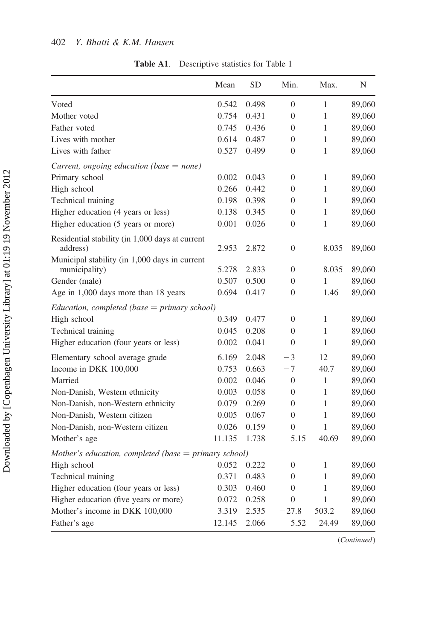|                                                             | Mean   | <b>SD</b> | Min.             | Max.  | N      |
|-------------------------------------------------------------|--------|-----------|------------------|-------|--------|
| Voted                                                       | 0.542  | 0.498     | $\Omega$         | 1     | 89,060 |
| Mother voted                                                | 0.754  | 0.431     | $\theta$         | 1     | 89,060 |
| Father voted                                                | 0.745  | 0.436     | $\overline{0}$   | 1     | 89,060 |
| Lives with mother                                           | 0.614  | 0.487     | $\overline{0}$   | 1     | 89,060 |
| Lives with father                                           | 0.527  | 0.499     | $\theta$         | 1     | 89,060 |
| Current, ongoing education (base $=$ none)                  |        |           |                  |       |        |
| Primary school                                              | 0.002  | 0.043     | $\overline{0}$   | 1     | 89,060 |
| High school                                                 | 0.266  | 0.442     | $\overline{0}$   | 1     | 89,060 |
| Technical training                                          | 0.198  | 0.398     | $\overline{0}$   | 1     | 89,060 |
| Higher education (4 years or less)                          | 0.138  | 0.345     | $\Omega$         | 1     | 89,060 |
| Higher education (5 years or more)                          | 0.001  | 0.026     | $\theta$         | 1     | 89,060 |
| Residential stability (in 1,000 days at current<br>address) | 2.953  | 2.872     | $\overline{0}$   | 8.035 | 89,060 |
| Municipal stability (in 1,000 days in current               |        |           |                  |       |        |
| municipality)                                               | 5.278  | 2.833     | $\overline{0}$   | 8.035 | 89,060 |
| Gender (male)                                               | 0.507  | 0.500     | $\overline{0}$   | 1     | 89,060 |
| Age in 1,000 days more than 18 years                        | 0.694  | 0.417     | $\overline{0}$   | 1.46  | 89,060 |
| Education, completed (base $=$ primary school)              |        |           |                  |       |        |
| High school                                                 | 0.349  | 0.477     | $\overline{0}$   | 1     | 89,060 |
| Technical training                                          | 0.045  | 0.208     | $\theta$         | 1     | 89,060 |
| Higher education (four years or less)                       | 0.002  | 0.041     | $\theta$         | 1     | 89,060 |
| Elementary school average grade                             | 6.169  | 2.048     | $-3$             | 12    | 89,060 |
| Income in DKK 100,000                                       | 0.753  | 0.663     | $-7$             | 40.7  | 89,060 |
| Married                                                     | 0.002  | 0.046     | $\overline{0}$   | 1     | 89,060 |
| Non-Danish, Western ethnicity                               | 0.003  | 0.058     | $\overline{0}$   | 1     | 89,060 |
| Non-Danish, non-Western ethnicity                           | 0.079  | 0.269     | $\theta$         | 1     | 89,060 |
| Non-Danish, Western citizen                                 | 0.005  | 0.067     | $\overline{0}$   | 1     | 89,060 |
| Non-Danish, non-Western citizen                             | 0.026  | 0.159     | $\boldsymbol{0}$ | 1     | 89,060 |
| Mother's age                                                | 11.135 | 1.738     | 5.15             | 40.69 | 89,060 |
| Mother's education, completed (base $=$ primary school)     |        |           |                  |       |        |
| High school                                                 | 0.052  | 0.222     | $\Omega$         | 1     | 89,060 |
| Technical training                                          | 0.371  | 0.483     | $\overline{0}$   | 1     | 89,060 |
| Higher education (four years or less)                       | 0.303  | 0.460     | $\overline{0}$   | 1     | 89,060 |
| Higher education (five years or more)                       | 0.072  | 0.258     | $\overline{0}$   | 1     | 89,060 |
| Mother's income in DKK 100,000                              | 3.319  | 2.535     | $-27.8$          | 503.2 | 89,060 |
| Father's age                                                | 12.145 | 2.066     | 5.52             | 24.49 | 89,060 |

Table A1. Descriptive statistics for Table 1

(Continued)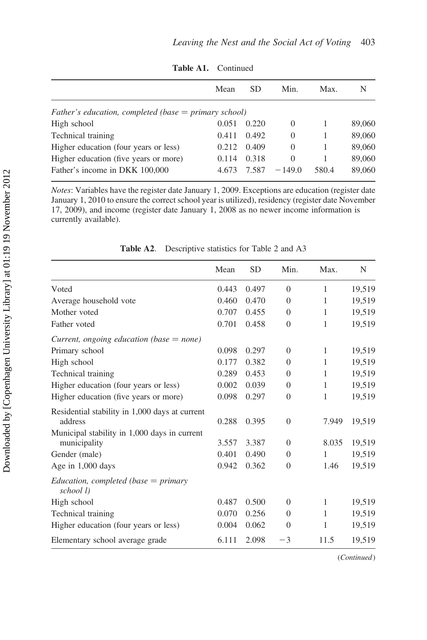|                                                         | Mean  | SD.   | Min.     | Max.  | N      |
|---------------------------------------------------------|-------|-------|----------|-------|--------|
| Father's education, completed (base $=$ primary school) |       |       |          |       |        |
| High school                                             | 0.051 | 0.220 | $\Omega$ |       | 89,060 |
| Technical training                                      | 0.411 | 0.492 | $\Omega$ |       | 89,060 |
| Higher education (four years or less)                   | 0.212 | 0.409 | $\Omega$ |       | 89,060 |
| Higher education (five years or more)                   | 0.114 | 0.318 | $\Omega$ |       | 89,060 |
| Father's income in DKK 100,000                          | 4.673 | 7.587 | $-149.0$ | 580.4 | 89,060 |

Table A1. Continued

Notes: Variables have the register date January 1, 2009. Exceptions are education (register date January 1, 2010 to ensure the correct school year is utilized), residency (register date November 17, 2009), and income (register date January 1, 2008 as no newer income information is currently available).

|                                                              | Mean  | <b>SD</b> | Min.           | Max.         | N      |
|--------------------------------------------------------------|-------|-----------|----------------|--------------|--------|
| Voted                                                        | 0.443 | 0.497     | $\Omega$       | 1            | 19,519 |
| Average household vote                                       | 0.460 | 0.470     | $\Omega$       | 1            | 19,519 |
| Mother voted                                                 | 0.707 | 0.455     | $\overline{0}$ | 1            | 19,519 |
| Father voted                                                 | 0.701 | 0.458     | $\Omega$       | 1            | 19,519 |
| Current, ongoing education (base $=$ none)                   |       |           |                |              |        |
| Primary school                                               | 0.098 | 0.297     | $\Omega$       | $\mathbf{1}$ | 19,519 |
| High school                                                  | 0.177 | 0.382     | $\Omega$       | 1            | 19,519 |
| Technical training                                           | 0.289 | 0.453     | $\theta$       | 1            | 19,519 |
| Higher education (four years or less)                        | 0.002 | 0.039     | $\Omega$       | 1            | 19,519 |
| Higher education (five years or more)                        | 0.098 | 0.297     | $\theta$       | 1            | 19,519 |
| Residential stability in 1,000 days at current<br>address    | 0.288 | 0.395     | $\overline{0}$ | 7.949        | 19,519 |
| Municipal stability in 1,000 days in current<br>municipality | 3.557 | 3.387     | $\Omega$       | 8.035        | 19,519 |
| Gender (male)                                                | 0.401 | 0.490     | $\Omega$       | 1            | 19,519 |
| Age in 1,000 days                                            | 0.942 | 0.362     | $\theta$       | 1.46         | 19,519 |
| Education, completed (base $=$ primary<br>school l)          |       |           |                |              |        |
| High school                                                  | 0.487 | 0.500     | $\Omega$       | $\mathbf{1}$ | 19,519 |
| Technical training                                           | 0.070 | 0.256     | $\theta$       | 1            | 19,519 |
| Higher education (four years or less)                        | 0.004 | 0.062     | $\theta$       | 1            | 19,519 |
| Elementary school average grade                              | 6.111 | 2.098     | $-3$           | 11.5         | 19,519 |

Table A2. Descriptive statistics for Table 2 and A3

(Continued)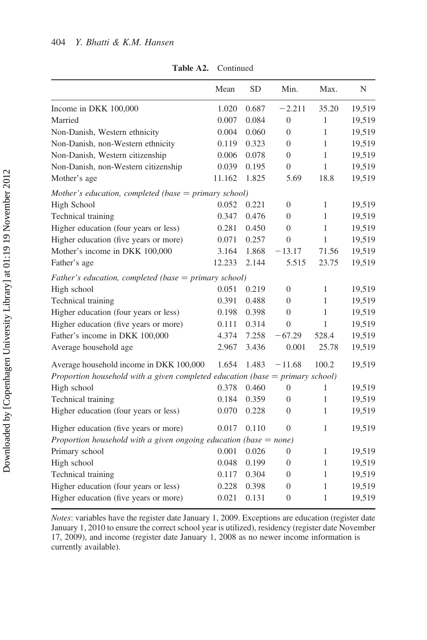|                                                                                                                            | Mean   | <b>SD</b> | Min.           | Max.         | N      |
|----------------------------------------------------------------------------------------------------------------------------|--------|-----------|----------------|--------------|--------|
| Income in DKK 100,000                                                                                                      | 1.020  | 0.687     | $-2.211$       | 35.20        | 19,519 |
| Married                                                                                                                    | 0.007  | 0.084     | $\Omega$       | 1            | 19,519 |
| Non-Danish, Western ethnicity                                                                                              | 0.004  | 0.060     | $\theta$       | 1            | 19,519 |
| Non-Danish, non-Western ethnicity                                                                                          | 0.119  | 0.323     | $\Omega$       | 1            | 19,519 |
| Non-Danish, Western citizenship                                                                                            | 0.006  | 0.078     | $\theta$       | 1            | 19,519 |
| Non-Danish, non-Western citizenship                                                                                        | 0.039  | 0.195     | $\Omega$       | 1            | 19,519 |
| Mother's age                                                                                                               | 11.162 | 1.825     | 5.69           | 18.8         | 19,519 |
| Mother's education, completed (base $=$ primary school)                                                                    |        |           |                |              |        |
| High School                                                                                                                | 0.052  | 0.221     | $\Omega$       | 1            | 19,519 |
| Technical training                                                                                                         | 0.347  | 0.476     | $\Omega$       | $\mathbf{1}$ | 19,519 |
| Higher education (four years or less)                                                                                      | 0.281  | 0.450     | $\theta$       | 1            | 19,519 |
| Higher education (five years or more)                                                                                      | 0.071  | 0.257     | $\overline{0}$ | 1            | 19,519 |
| Mother's income in DKK 100,000                                                                                             | 3.164  | 1.868     | $-13.17$       | 71.56        | 19,519 |
| Father's age                                                                                                               | 12.233 | 2.144     | 5.515          | 23.75        | 19,519 |
| Father's education, completed (base $=$ primary school)                                                                    |        |           |                |              |        |
| High school                                                                                                                | 0.051  | 0.219     | $\Omega$       | 1            | 19,519 |
| Technical training                                                                                                         | 0.391  | 0.488     | $\Omega$       | $\mathbf{1}$ | 19,519 |
| Higher education (four years or less)                                                                                      | 0.198  | 0.398     | $\overline{0}$ | 1            | 19,519 |
| Higher education (five years or more)                                                                                      | 0.111  | 0.314     | $\Omega$       | 1            | 19,519 |
| Father's income in DKK 100,000                                                                                             | 4.374  | 7.258     | $-67.29$       | 528.4        | 19,519 |
| Average household age                                                                                                      | 2.967  | 3.436     | 0.001          | 25.78        | 19,519 |
| Average household income in DKK 100,000<br>Proportion household with a given completed education (base $=$ primary school) | 1.654  | 1.483     | $-11.68$       | 100.2        | 19,519 |
| High school                                                                                                                | 0.378  | 0.460     | $\theta$       | 1            | 19,519 |
| Technical training                                                                                                         | 0.184  | 0.359     | $\theta$       | 1            | 19,519 |
| Higher education (four years or less)                                                                                      | 0.070  | 0.228     | $\theta$       | 1            | 19,519 |
| Higher education (five years or more)                                                                                      | 0.017  | 0.110     | $\Omega$       | 1            | 19,519 |
| Proportion household with a given ongoing education (base $=$ none)                                                        |        |           |                |              |        |
| Primary school                                                                                                             | 0.001  | 0.026     | $\theta$       | 1            | 19,519 |
| High school                                                                                                                | 0.048  | 0.199     | $\Omega$       | 1            | 19,519 |
| Technical training                                                                                                         | 0.117  | 0.304     | $\Omega$       | 1            | 19,519 |
| Higher education (four years or less)                                                                                      | 0.228  | 0.398     | $\theta$       | 1            | 19,519 |
| Higher education (five years or more)                                                                                      | 0.021  | 0.131     | $\theta$       | 1            | 19,519 |

Table A2. Continued

Notes: variables have the register date January 1, 2009. Exceptions are education (register date January 1, 2010 to ensure the correct school year is utilized), residency (register date November 17, 2009), and income (register date January 1, 2008 as no newer income information is currently available).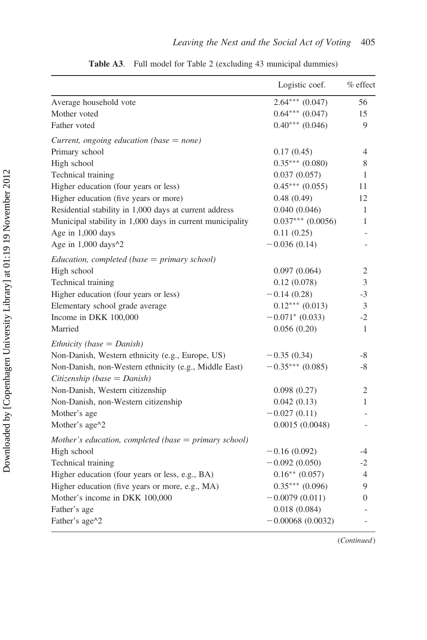|                                                           | Logistic coef.        | % effect                 |
|-----------------------------------------------------------|-----------------------|--------------------------|
| Average household vote                                    | $2.64***(0.047)$      | 56                       |
| Mother voted                                              | $0.64***(0.047)$      | 15                       |
| Father voted                                              | $0.40***$ $(0.046)$   | 9                        |
| Current, ongoing education (base $=$ none)                |                       |                          |
| Primary school                                            | 0.17(0.45)            | $\overline{4}$           |
| High school                                               | $0.35***(0.080)$      | 8                        |
| Technical training                                        | 0.037(0.057)          | 1                        |
| Higher education (four years or less)                     | $0.45***(0.055)$      | 11                       |
| Higher education (five years or more)                     | 0.48(0.49)            | 12                       |
| Residential stability in 1,000 days at current address    | 0.040(0.046)          | 1                        |
| Municipal stability in 1,000 days in current municipality | $0.037***$ $(0.0056)$ | 1                        |
| Age in 1,000 days                                         | 0.11(0.25)            |                          |
| Age in 1,000 days^2                                       | $-0.036(0.14)$        |                          |
| $Education, completed (base = primary school)$            |                       |                          |
| High school                                               | 0.097(0.064)          | 2                        |
| Technical training                                        | 0.12(0.078)           | 3                        |
| Higher education (four years or less)                     | $-0.14(0.28)$         | $-3$                     |
| Elementary school grade average                           | $0.12***$ (0.013)     | 3                        |
| Income in DKK 100,000                                     | $-0.071$ * (0.033)    | $-2$                     |
| Married                                                   | 0.056(0.20)           | $\mathbf{1}$             |
| Ethnicity (base = $Danish$ )                              |                       |                          |
| Non-Danish, Western ethnicity (e.g., Europe, US)          | $-0.35(0.34)$         | $-8$                     |
| Non-Danish, non-Western ethnicity (e.g., Middle East)     | $-0.35***(0.085)$     | $-8$                     |
| Citizenship (base = $Danish$ )                            |                       |                          |
| Non-Danish, Western citizenship                           | 0.098(0.27)           | 2                        |
| Non-Danish, non-Western citizenship                       | 0.042(0.13)           | 1                        |
| Mother's age                                              | $-0.027(0.11)$        |                          |
| Mother's age^2                                            | 0.0015(0.0048)        |                          |
| Mother's education, completed (base $=$ primary school)   |                       |                          |
| High school                                               | $-0.16(0.092)$        | $-4$                     |
| Technical training                                        | $-0.092(0.050)$       | $-2$                     |
| Higher education (four years or less, e.g., BA)           | $0.16**$ (0.057)      | $\overline{4}$           |
| Higher education (five years or more, e.g., MA)           | $0.35***(0.096)$      | 9                        |
| Mother's income in DKK 100,000                            | $-0.0079(0.011)$      | $\overline{0}$           |
| Father's age                                              | 0.018(0.084)          |                          |
| Father's age^2                                            | $-0.00068(0.0032)$    | $\overline{\phantom{a}}$ |

Table A3. Full model for Table 2 (excluding 43 municipal dummies)

(Continued)